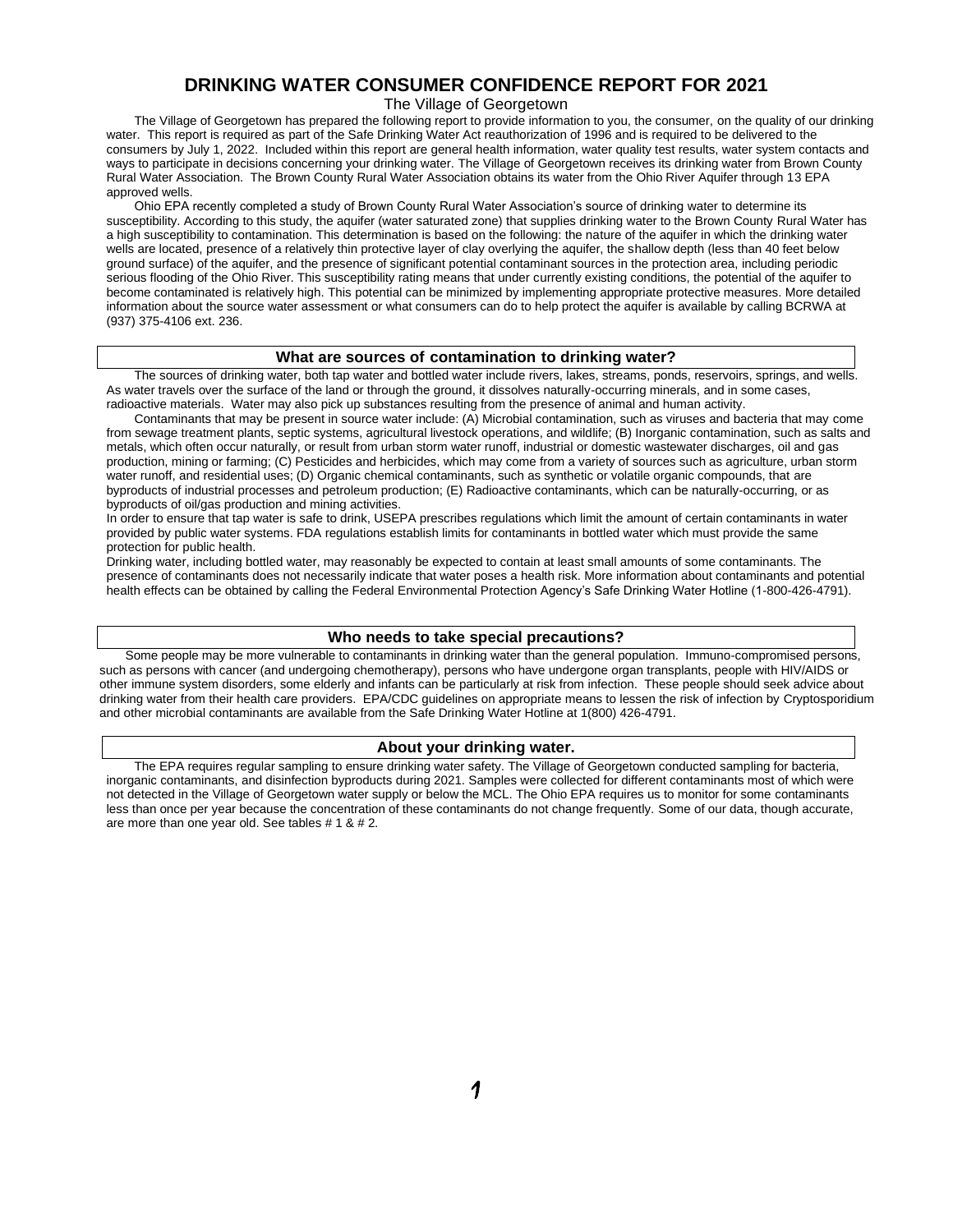# **DRINKING WATER CONSUMER CONFIDENCE REPORT FOR 2021**

The Village of Georgetown

The Village of Georgetown has prepared the following report to provide information to you, the consumer, on the quality of our drinking water. This report is required as part of the Safe Drinking Water Act reauthorization of 1996 and is required to be delivered to the consumers by July 1, 2022. Included within this report are general health information, water quality test results, water system contacts and ways to participate in decisions concerning your drinking water. The Village of Georgetown receives its drinking water from Brown County Rural Water Association. The Brown County Rural Water Association obtains its water from the Ohio River Aquifer through 13 EPA approved wells.

Ohio EPA recently completed a study of Brown County Rural Water Association's source of drinking water to determine its susceptibility. According to this study, the aquifer (water saturated zone) that supplies drinking water to the Brown County Rural Water has a high susceptibility to contamination. This determination is based on the following: the nature of the aquifer in which the drinking water wells are located, presence of a relatively thin protective layer of clay overlying the aquifer, the shallow depth (less than 40 feet below ground surface) of the aquifer, and the presence of significant potential contaminant sources in the protection area, including periodic serious flooding of the Ohio River. This susceptibility rating means that under currently existing conditions, the potential of the aquifer to become contaminated is relatively high. This potential can be minimized by implementing appropriate protective measures. More detailed information about the source water assessment or what consumers can do to help protect the aquifer is available by calling BCRWA at (937) 375-4106 ext. 236.

### **What are sources of contamination to drinking water?**

The sources of drinking water, both tap water and bottled water include rivers, lakes, streams, ponds, reservoirs, springs, and wells. As water travels over the surface of the land or through the ground, it dissolves naturally-occurring minerals, and in some cases, radioactive materials. Water may also pick up substances resulting from the presence of animal and human activity.

Contaminants that may be present in source water include: (A) Microbial contamination, such as viruses and bacteria that may come from sewage treatment plants, septic systems, agricultural livestock operations, and wildlife; (B) Inorganic contamination, such as salts and metals, which often occur naturally, or result from urban storm water runoff, industrial or domestic wastewater discharges, oil and gas production, mining or farming; (C) Pesticides and herbicides, which may come from a variety of sources such as agriculture, urban storm water runoff, and residential uses; (D) Organic chemical contaminants, such as synthetic or volatile organic compounds, that are byproducts of industrial processes and petroleum production; (E) Radioactive contaminants, which can be naturally-occurring, or as byproducts of oil/gas production and mining activities.

In order to ensure that tap water is safe to drink, USEPA prescribes regulations which limit the amount of certain contaminants in water provided by public water systems. FDA regulations establish limits for contaminants in bottled water which must provide the same protection for public health.

Drinking water, including bottled water, may reasonably be expected to contain at least small amounts of some contaminants. The presence of contaminants does not necessarily indicate that water poses a health risk. More information about contaminants and potential health effects can be obtained by calling the Federal Environmental Protection Agency's Safe Drinking Water Hotline (1-800-426-4791).

#### **Who needs to take special precautions?**

 Some people may be more vulnerable to contaminants in drinking water than the general population. Immuno-compromised persons, such as persons with cancer (and undergoing chemotherapy), persons who have undergone organ transplants, people with HIV/AIDS or other immune system disorders, some elderly and infants can be particularly at risk from infection. These people should seek advice about drinking water from their health care providers. EPA/CDC guidelines on appropriate means to lessen the risk of infection by Cryptosporidium and other microbial contaminants are available from the Safe Drinking Water Hotline at 1(800) 426-4791.

#### **About your drinking water.**

 The EPA requires regular sampling to ensure drinking water safety. The Village of Georgetown conducted sampling for bacteria, inorganic contaminants, and disinfection byproducts during 2021. Samples were collected for different contaminants most of which were not detected in the Village of Georgetown water supply or below the MCL. The Ohio EPA requires us to monitor for some contaminants less than once per year because the concentration of these contaminants do not change frequently. Some of our data, though accurate, are more than one year old. See tables # 1 & # 2.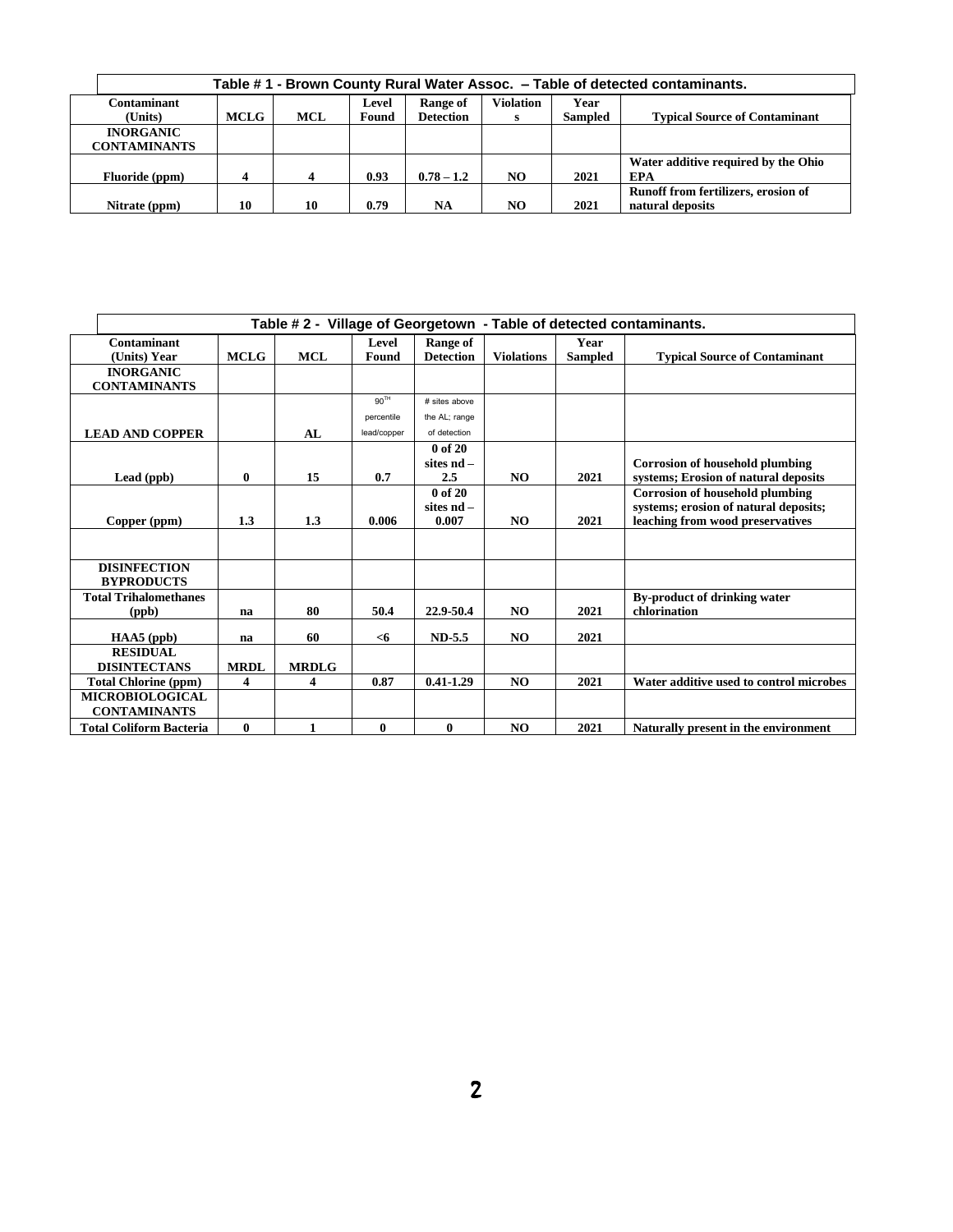| Table #1 - Brown County Rural Water Assoc. - Table of detected contaminants. |                  |            |                |                              |                  |                        |                                                         |  |  |  |
|------------------------------------------------------------------------------|------------------|------------|----------------|------------------------------|------------------|------------------------|---------------------------------------------------------|--|--|--|
| Contaminant<br>(Units)                                                       | MCLG             | <b>MCL</b> | Level<br>Found | Range of<br><b>Detection</b> | <b>Violation</b> | Year<br><b>Sampled</b> | <b>Typical Source of Contaminant</b>                    |  |  |  |
| <b>INORGANIC</b>                                                             |                  |            |                |                              | s                |                        |                                                         |  |  |  |
| <b>CONTAMINANTS</b>                                                          |                  |            |                |                              |                  |                        |                                                         |  |  |  |
| Fluoride (ppm)                                                               | $\boldsymbol{4}$ |            | 0.93           | $0.78 - 1.2$                 | NO.              | 2021                   | Water additive required by the Ohio<br><b>EPA</b>       |  |  |  |
| Nitrate (ppm)                                                                | 10               | 10         | 0.79           | NA                           | NO.              | 2021                   | Runoff from fertilizers, erosion of<br>natural deposits |  |  |  |

| Table # 2 - Village of Georgetown - Table of detected contaminants. |             |              |                  |                                      |                   |                        |                                                                                                                     |  |  |  |  |
|---------------------------------------------------------------------|-------------|--------------|------------------|--------------------------------------|-------------------|------------------------|---------------------------------------------------------------------------------------------------------------------|--|--|--|--|
| Contaminant<br>(Units) Year                                         | <b>MCLG</b> | <b>MCL</b>   | Level<br>Found   | Range of<br><b>Detection</b>         | <b>Violations</b> | Year<br><b>Sampled</b> | <b>Typical Source of Contaminant</b>                                                                                |  |  |  |  |
| <b>INORGANIC</b><br><b>CONTAMINANTS</b>                             |             |              |                  |                                      |                   |                        |                                                                                                                     |  |  |  |  |
|                                                                     |             |              | 90 <sup>TH</sup> | # sites above                        |                   |                        |                                                                                                                     |  |  |  |  |
|                                                                     |             |              | percentile       | the AL; range                        |                   |                        |                                                                                                                     |  |  |  |  |
| <b>LEAD AND COPPER</b>                                              |             | AI.          | lead/copper      | of detection                         |                   |                        |                                                                                                                     |  |  |  |  |
| Lead (ppb)                                                          | 0           | 15           | 0.7              | 0 of 20<br>sites $nd -$<br>2.5       | <b>NO</b>         | 2021                   | <b>Corrosion of household plumbing</b><br>systems; Erosion of natural deposits                                      |  |  |  |  |
| Copper (ppm)                                                        | 1.3         | 1.3          | 0.006            | $0$ of $20$<br>sites $nd -$<br>0.007 | NO                | 2021                   | <b>Corrosion of household plumbing</b><br>systems; erosion of natural deposits;<br>leaching from wood preservatives |  |  |  |  |
|                                                                     |             |              |                  |                                      |                   |                        |                                                                                                                     |  |  |  |  |
| <b>DISINFECTION</b><br><b>BYPRODUCTS</b>                            |             |              |                  |                                      |                   |                        |                                                                                                                     |  |  |  |  |
| <b>Total Trihalomethanes</b><br>(ppb)                               | na          | 80           | 50.4             | 22.9-50.4                            | <b>NO</b>         | 2021                   | <b>By-product of drinking water</b><br>chlorination                                                                 |  |  |  |  |
| $HAAS$ (ppb)                                                        | na          | 60           | $<$ 6            | $ND-5.5$                             | <b>NO</b>         | 2021                   |                                                                                                                     |  |  |  |  |
| <b>RESIDUAL</b><br><b>DISINTECTANS</b>                              | <b>MRDL</b> | <b>MRDLG</b> |                  |                                      |                   |                        |                                                                                                                     |  |  |  |  |
| <b>Total Chlorine (ppm)</b>                                         | 4           | 4            | 0.87             | $0.41 - 1.29$                        | NO.               | 2021                   | Water additive used to control microbes                                                                             |  |  |  |  |
| <b>MICROBIOLOGICAL</b><br><b>CONTAMINANTS</b>                       |             |              |                  |                                      |                   |                        |                                                                                                                     |  |  |  |  |
| <b>Total Coliform Bacteria</b>                                      | $\bf{0}$    | 1            | $\bf{0}$         | $\bf{0}$                             | <b>NO</b>         | 2021                   | Naturally present in the environment                                                                                |  |  |  |  |